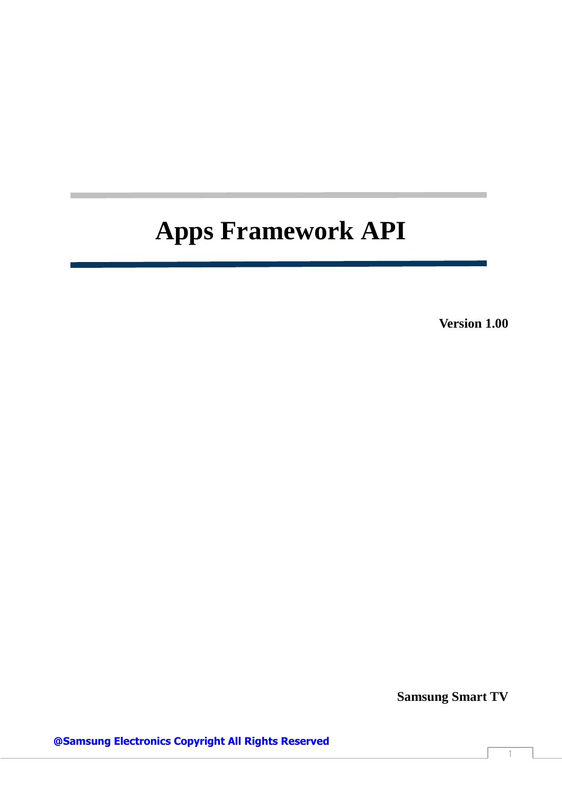**Version 1.00**

**Samsung Smart TV**

**@Samsung Electronics Copyright All Rights Reserved**

1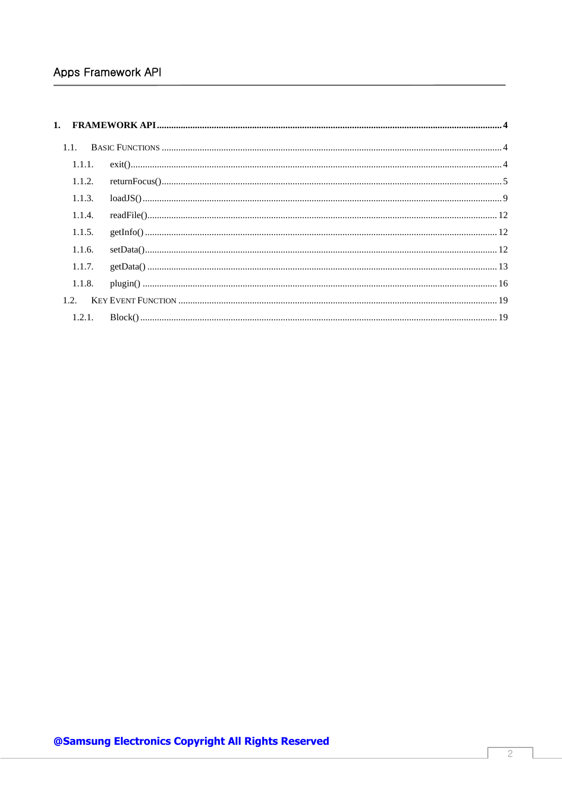| 1.1.   |  |
|--------|--|
| 1.1.1. |  |
| 1.1.2. |  |
| 1.1.3. |  |
| 1.1.4. |  |
| 1.1.5. |  |
| 1.1.6. |  |
| 1.1.7. |  |
| 1.1.8. |  |
|        |  |
|        |  |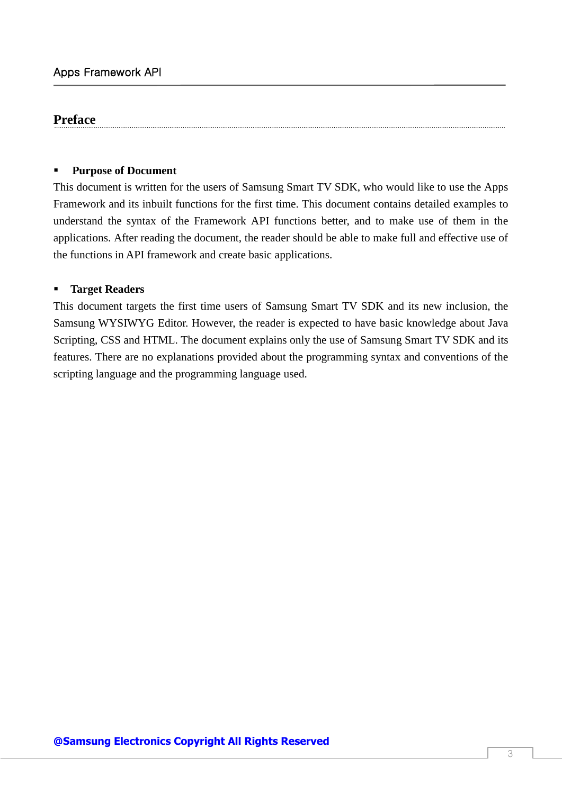## **Preface**

#### **Purpose of Document**

This document is written for the users of Samsung Smart TV SDK, who would like to use the Apps Framework and its inbuilt functions for the first time. This document contains detailed examples to understand the syntax of the Framework API functions better, and to make use of them in the applications. After reading the document, the reader should be able to make full and effective use of the functions in API framework and create basic applications.

#### **Target Readers**

This document targets the first time users of Samsung Smart TV SDK and its new inclusion, the Samsung WYSIWYG Editor. However, the reader is expected to have basic knowledge about Java Scripting, CSS and HTML. The document explains only the use of Samsung Smart TV SDK and its features. There are no explanations provided about the programming syntax and conventions of the scripting language and the programming language used.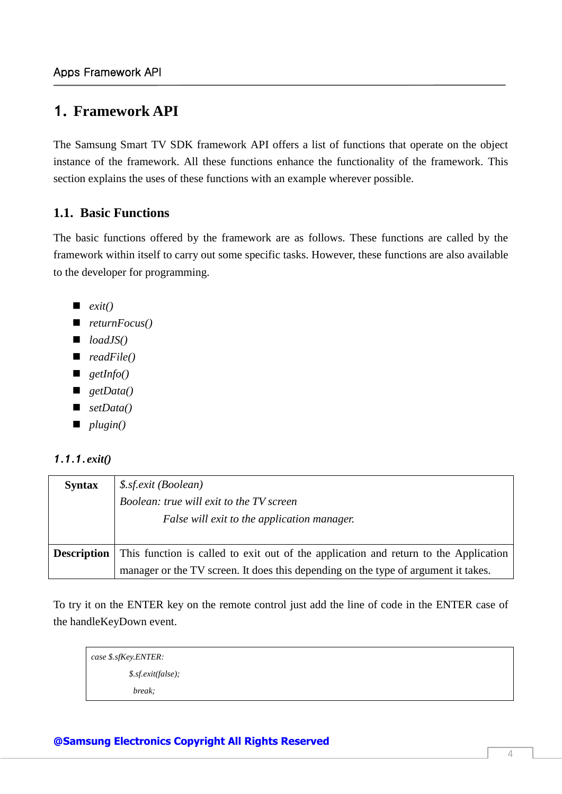## <span id="page-3-0"></span>**1. Framework API**

The Samsung Smart TV SDK framework API offers a list of functions that operate on the object instance of the framework. All these functions enhance the functionality of the framework. This section explains the uses of these functions with an example wherever possible.

## <span id="page-3-1"></span>**1.1. Basic Functions**

The basic functions offered by the framework are as follows. These functions are called by the framework within itself to carry out some specific tasks. However, these functions are also available to the developer for programming.

- *exit()*
- *returnFocus()*
- *loadJS()*
- *readFile()*
- *getInfo()*
- *getData()*
- *setData()*
- *plugin()*

## <span id="page-3-2"></span>*1.1.1.exit()*

| <b>Syntax</b>      | \$.sf.exit (Boolean)                                                                 |
|--------------------|--------------------------------------------------------------------------------------|
|                    | Boolean: true will exit to the TV screen                                             |
|                    | False will exit to the application manager.                                          |
|                    |                                                                                      |
| <b>Description</b> | This function is called to exit out of the application and return to the Application |
|                    | manager or the TV screen. It does this depending on the type of argument it takes.   |

To try it on the ENTER key on the remote control just add the line of code in the ENTER case of the handleKeyDown event.

| case \$.sfKey.ENTER: |                    |
|----------------------|--------------------|
|                      | \$.sf.exit(false); |
|                      | break;             |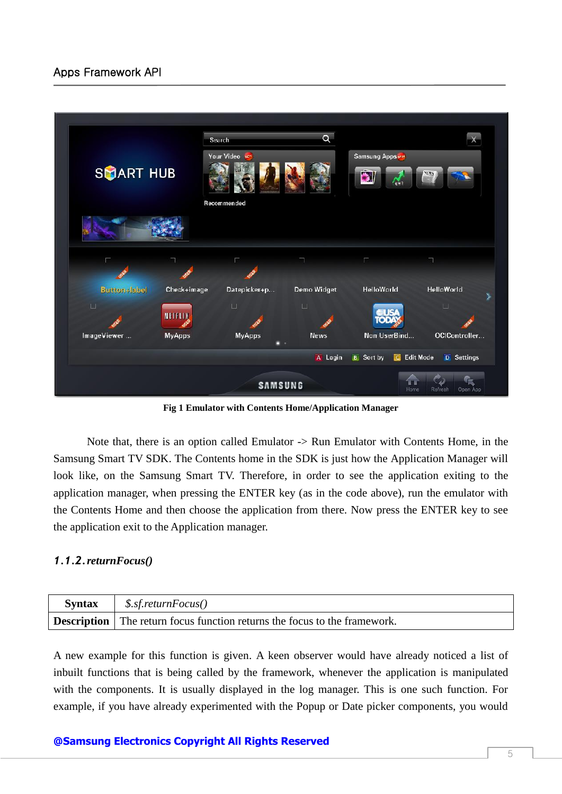

**Fig 1 Emulator with Contents Home/Application Manager**

Note that, there is an option called Emulator -> Run Emulator with Contents Home, in the Samsung Smart TV SDK. The Contents home in the SDK is just how the Application Manager will look like, on the Samsung Smart TV. Therefore, in order to see the application exiting to the application manager, when pressing the ENTER key (as in the code above), run the emulator with the Contents Home and then choose the application from there. Now press the ENTER key to see the application exit to the Application manager.

#### <span id="page-4-0"></span>*1.1.2.returnFocus()*

| <b>Syntax</b> | $\frac{1}{2}$ \$.sf. return Focus()                                              |
|---------------|----------------------------------------------------------------------------------|
|               | <b>Description</b> The return focus function returns the focus to the framework. |

A new example for this function is given. A keen observer would have already noticed a list of inbuilt functions that is being called by the framework, whenever the application is manipulated with the components. It is usually displayed in the log manager. This is one such function. For example, if you have already experimented with the Popup or Date picker components, you would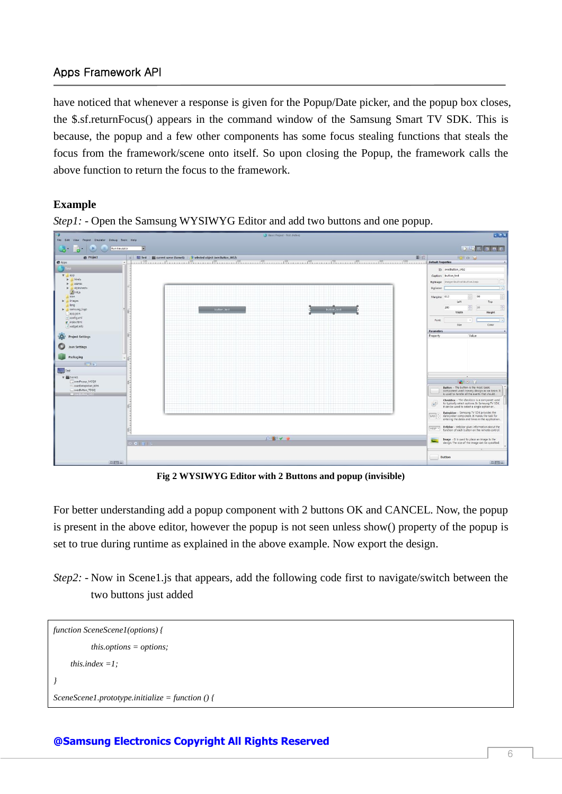have noticed that whenever a response is given for the Popup/Date picker, and the popup box closes, the \$.sf.returnFocus() appears in the command window of the Samsung Smart TV SDK. This is because, the popup and a few other components has some focus stealing functions that steals the focus from the framework/scene onto itself. So upon closing the Popup, the framework calls the above function to return the focus to the framework.

#### **Example**



*Step1: -* Open the Samsung WYSIWYG Editor and add two buttons and one popup.

**Fig 2 WYSIWYG Editor with 2 Buttons and popup (invisible)**

For better understanding add a popup component with 2 buttons OK and CANCEL. Now, the popup is present in the above editor, however the popup is not seen unless show() property of the popup is set to true during runtime as explained in the above example. Now export the design.

*Step2:* - Now in Scene1.js that appears, add the following code first to navigate/switch between the two buttons just added

```
function SceneScene1(options) {
           this.options = options;
      this.index =1;
}
SceneScene1.prototype.initialize = function () {
```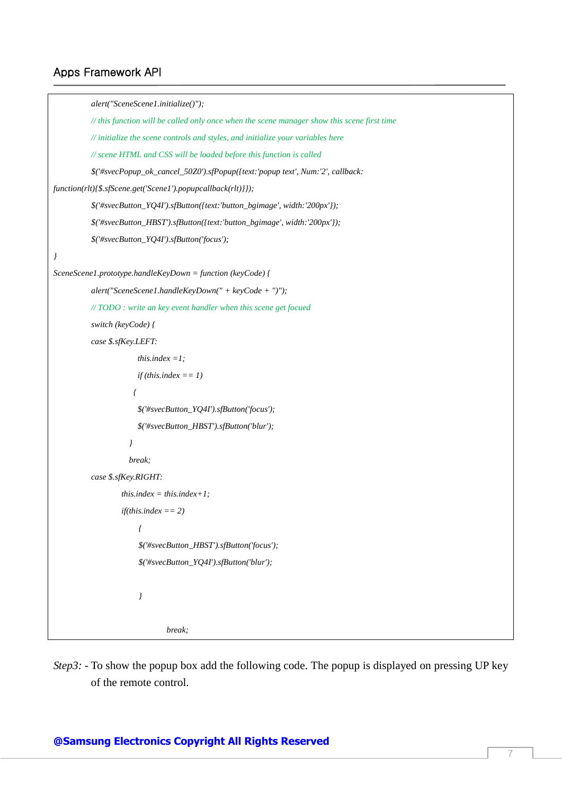```
alert("SceneScene1.initialize()");
          // this function will be called only once when the scene manager show this scene first time
          // initialize the scene controls and styles, and initialize your variables here 
          // scene HTML and CSS will be loaded before this function is called
          $('#svecPopup_ok_cancel_50Z0').sfPopup({text:'popup text', Num:'2', callback: 
function(rlt){$.sfScene.get('Scene1').popupcallback(rlt)}});
          $('#svecButton_YQ4I').sfButton({text:'button_bgimage', width:'200px'});
          $('#svecButton_HBST').sfButton({text:'button_bgimage', width:'200px'});
          $('#svecButton_YQ4I').sfButton('focus');
}
SceneScene1.prototype.handleKeyDown = function (keyCode) {
          alert("SceneScene1.handleKeyDown(" + keyCode + ")");
          // TODO : write an key event handler when this scene get focued
          switch (keyCode) {
          case $.sfKey.LEFT:
                       this.index =1;
                       if (this.index == 1)
 {
                       $('#svecButton_YQ4I').sfButton('focus');
                       $('#svecButton_HBST').sfButton('blur');
 }
                    break;
          case $.sfKey.RIGHT:
                   this.index = this.index+1; 
                   if(this.index == 2)
 {
                        $('#svecButton_HBST').sfButton('focus');
                        $('#svecButton_YQ4I').sfButton('blur');
 }
                              break;
```
*Step3*: - To show the popup box add the following code. The popup is displayed on pressing UP key of the remote control.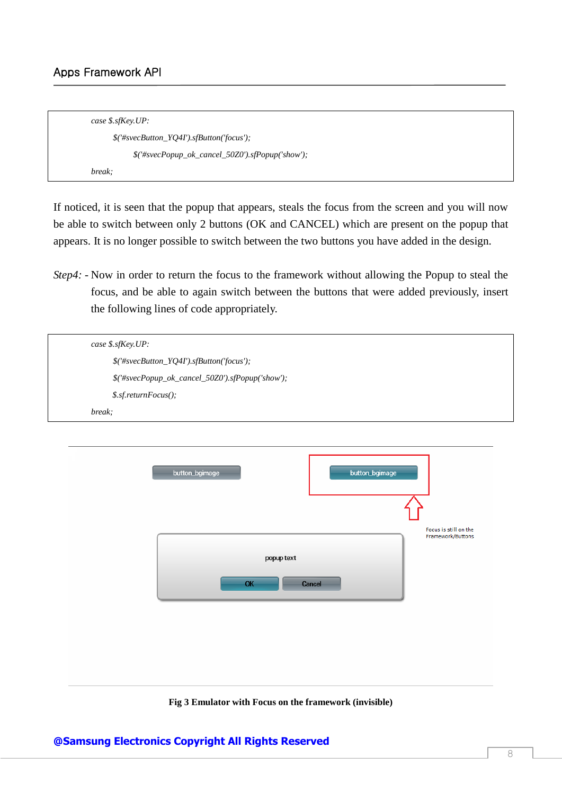| case $$.$ sfKey.UP:                                                                                                                                                                                                                                                                                                                                                                                                                                                                     |
|-----------------------------------------------------------------------------------------------------------------------------------------------------------------------------------------------------------------------------------------------------------------------------------------------------------------------------------------------------------------------------------------------------------------------------------------------------------------------------------------|
| $\frac{\mathcal{S}^{\prime\prime}\# \text{s} \text{v} e cButton}{\mathcal{S}^{\prime\prime}}$ / $\frac{\mathcal{S}^{\prime\prime}}{\mathcal{S}^{\prime\prime}}$ / $\frac{\mathcal{S}^{\prime\prime}}{\mathcal{S}^{\prime\prime}}$ / $\frac{\mathcal{S}^{\prime\prime}}{\mathcal{S}^{\prime\prime}}$ / $\frac{\mathcal{S}^{\prime\prime}}{\mathcal{S}^{\prime\prime}}$ / $\frac{\mathcal{S}^{\prime\prime}}{\mathcal{S}^{\prime\prime}}$ / $\frac{\mathcal{S}^{\prime\prime}}{\mathcal{$ |
| $\frac{\mathcal{S}(\mathcal{H} \text{s} \text{vec} \text{Popup}\_ok\_cancel\_50Z0')\cdot \text{sfPopup}}{\mathcal{H} \text{loop}}$                                                                                                                                                                                                                                                                                                                                                      |
| break:                                                                                                                                                                                                                                                                                                                                                                                                                                                                                  |

If noticed, it is seen that the popup that appears, steals the focus from the screen and you will now be able to switch between only 2 buttons (OK and CANCEL) which are present on the popup that appears. It is no longer possible to switch between the two buttons you have added in the design.

*Step4*: - Now in order to return the focus to the framework without allowing the Popup to steal the focus, and be able to again switch between the buttons that were added previously, insert the following lines of code appropriately.

| case $$.s$ fKey.UP:                                    |  |
|--------------------------------------------------------|--|
|                                                        |  |
| $\$('\#svecButton_YQ4I').sfButton('focus');$           |  |
| $\$('\#svecPopup\_ok\_cancel\_50Z0').sfPopup('show');$ |  |
| $$. s$ f.return $F$ ocus();                            |  |
| break;                                                 |  |

| Focus is still on the<br>Framework/Buttons<br>popup text<br>OK<br>Cancel |  |
|--------------------------------------------------------------------------|--|
|                                                                          |  |
|                                                                          |  |
|                                                                          |  |

**Fig 3 Emulator with Focus on the framework (invisible)**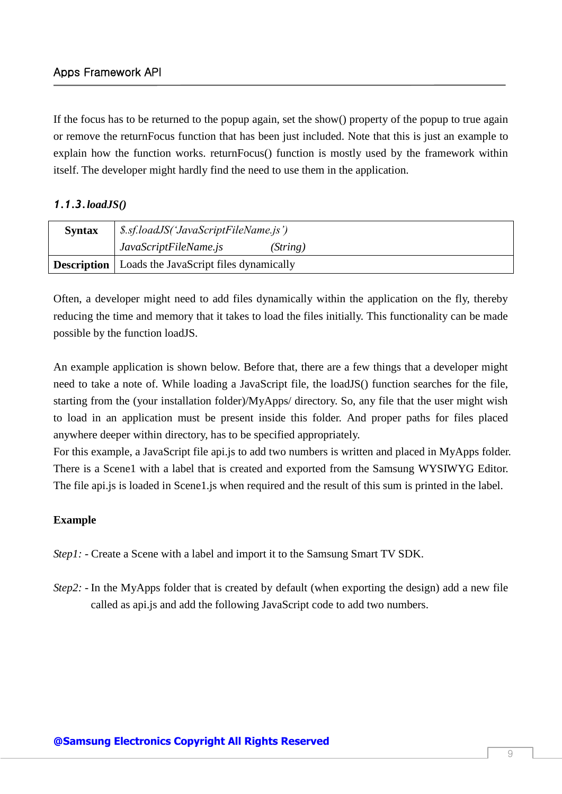If the focus has to be returned to the popup again, set the show() property of the popup to true again or remove the returnFocus function that has been just included. Note that this is just an example to explain how the function works. returnFocus() function is mostly used by the framework within itself. The developer might hardly find the need to use them in the application.

## <span id="page-8-0"></span>*1.1.3.loadJS()*

| <b>Syntax</b> | \$.sf.loadJS('JavaScriptFileName.js')                       |  |
|---------------|-------------------------------------------------------------|--|
|               | JavaScriptFileName.js<br>(String)                           |  |
|               | <b>Description</b>   Loads the JavaScript files dynamically |  |

Often, a developer might need to add files dynamically within the application on the fly, thereby reducing the time and memory that it takes to load the files initially. This functionality can be made possible by the function loadJS.

An example application is shown below. Before that, there are a few things that a developer might need to take a note of. While loading a JavaScript file, the loadJS() function searches for the file, starting from the (your installation folder)/MyApps/ directory. So, any file that the user might wish to load in an application must be present inside this folder. And proper paths for files placed anywhere deeper within directory, has to be specified appropriately.

For this example, a JavaScript file api.js to add two numbers is written and placed in MyApps folder. There is a Scene1 with a label that is created and exported from the Samsung WYSIWYG Editor. The file api.js is loaded in Scene1.js when required and the result of this sum is printed in the label.

## **Example**

- *Step1: -* Create a Scene with a label and import it to the Samsung Smart TV SDK.
- *Step2:* In the MyApps folder that is created by default (when exporting the design) add a new file called as api.js and add the following JavaScript code to add two numbers.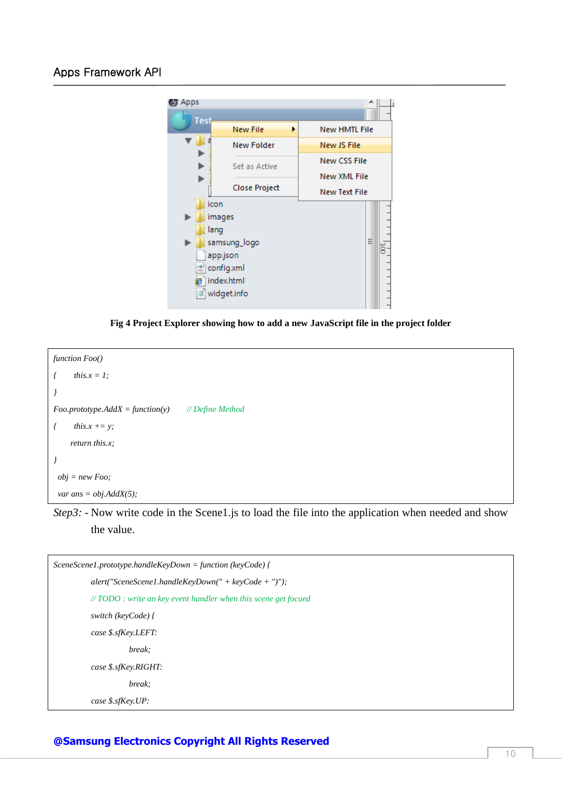



```
function Foo()
{ this.x = 1;
}
Foo.prototype. AddX = function(y) // Define Method
{ this.x += y;
     return this.x;
}
obj = new Foo;
var ans = obj.AddX(5);
```
*Step3:* - Now write code in the Scene1.js to load the file into the application when needed and show the value.

| $SceneScene 1. prototype.handle KeyDown = function (keyCode)$            |  |
|--------------------------------------------------------------------------|--|
| $\alpha$ alert("SceneScene1.handleKeyDown(" + keyCode + ")");            |  |
| $\# \text{TODO}$ : write an key event handler when this scene get focued |  |
| switch (keyCode) {                                                       |  |
| case \$.sfKey.LEFT:                                                      |  |
| break;                                                                   |  |
| case \$.sfKey.RIGHT:                                                     |  |
| break;                                                                   |  |
| case $$.$ sf $Kev.UP$ :                                                  |  |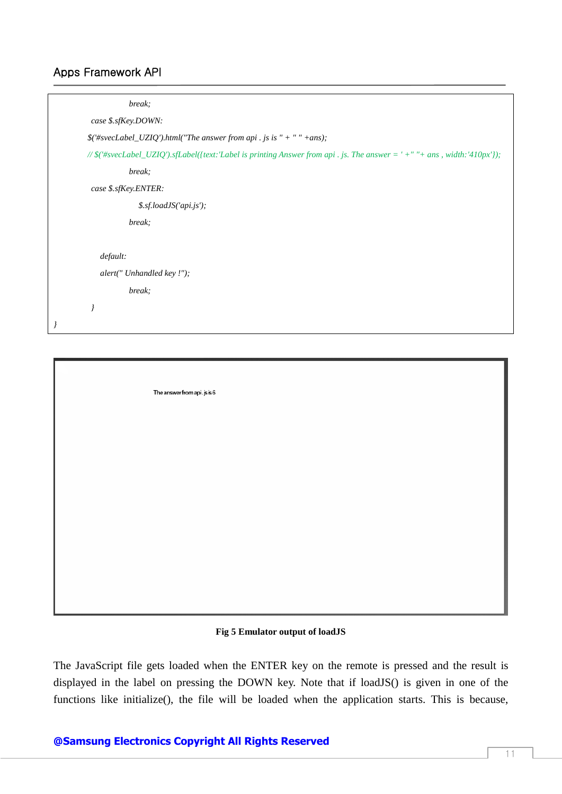| break;                     |                                                                                                                            |
|----------------------------|----------------------------------------------------------------------------------------------------------------------------|
| case \$.sfKey.DOWN:        |                                                                                                                            |
|                            | $\$('\#svecLabel_UZIQ')$ .html("The answer from api. js is " + " " + ans);                                                 |
|                            | // \$('#svecLabel_UZIQ').sfLabel({text:'Label is printing Answer from api . js. The answer = ' +" "+ ans, width:'410px'}); |
| break;                     |                                                                                                                            |
| case \$.sfKey.ENTER:       |                                                                                                                            |
|                            | \$.sf.loadJS('api.js');                                                                                                    |
| break;                     |                                                                                                                            |
|                            |                                                                                                                            |
| default:                   |                                                                                                                            |
| alert(" Unhandled key !"); |                                                                                                                            |
| break;                     |                                                                                                                            |
| $\overline{I}$             |                                                                                                                            |
|                            |                                                                                                                            |

The answer from api. is is 6

#### **Fig 5 Emulator output of loadJS**

The JavaScript file gets loaded when the ENTER key on the remote is pressed and the result is displayed in the label on pressing the DOWN key. Note that if loadJS() is given in one of the functions like initialize(), the file will be loaded when the application starts. This is because,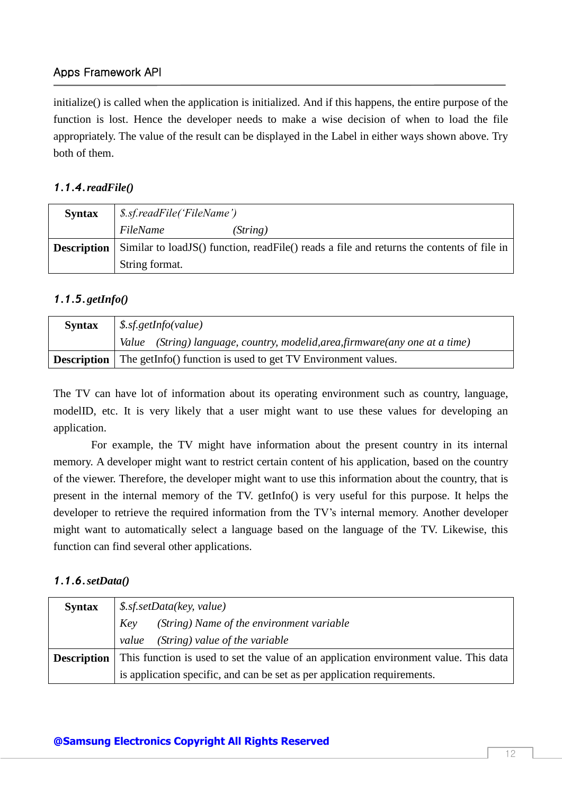initialize() is called when the application is initialized. And if this happens, the entire purpose of the function is lost. Hence the developer needs to make a wise decision of when to load the file appropriately. The value of the result can be displayed in the Label in either ways shown above. Try both of them.

#### <span id="page-11-0"></span>*1.1.4.readFile()*

| <b>Syntax</b>      | <i>S.sf.readFile('FileName')</i>                                                            |  |
|--------------------|---------------------------------------------------------------------------------------------|--|
|                    | FileName<br>(String)                                                                        |  |
| <b>Description</b> | Similar to load JS() function, read File() reads a file and returns the contents of file in |  |
|                    | String format.                                                                              |  |

#### <span id="page-11-1"></span>*1.1.5.getInfo()*

| <b>Syntax</b> | $\frac{1}{2}$ \$.sf.getInfo(value)                                              |  |
|---------------|---------------------------------------------------------------------------------|--|
|               | Value (String) language, country, modelid, area, firmware (any one at a time)   |  |
|               | <b>Description</b> The getInfo() function is used to get TV Environment values. |  |

The TV can have lot of information about its operating environment such as country, language, modelID, etc. It is very likely that a user might want to use these values for developing an application.

For example, the TV might have information about the present country in its internal memory. A developer might want to restrict certain content of his application, based on the country of the viewer. Therefore, the developer might want to use this information about the country, that is present in the internal memory of the TV. getInfo() is very useful for this purpose. It helps the developer to retrieve the required information from the TV's internal memory. Another developer might want to automatically select a language based on the language of the TV. Likewise, this function can find several other applications.

#### <span id="page-11-2"></span>*1.1.6.setData()*

| <b>Syntax</b> | \$. s f. set Data(key, value)                                                                              |  |
|---------------|------------------------------------------------------------------------------------------------------------|--|
|               | (String) Name of the environment variable<br>Key                                                           |  |
|               | (String) value of the variable<br>value                                                                    |  |
|               | <b>Description</b>   This function is used to set the value of an application environment value. This data |  |
|               | is application specific, and can be set as per application requirements.                                   |  |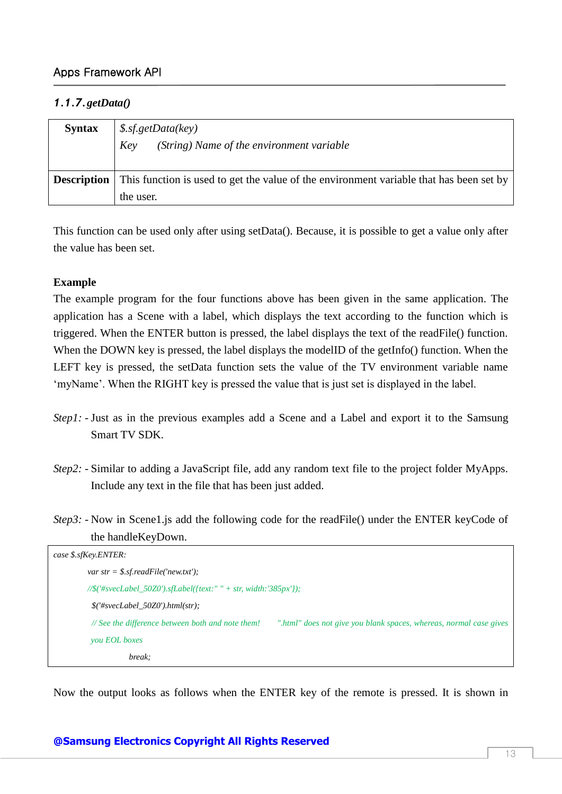## <span id="page-12-0"></span>*1.1.7.getData()*

| <b>Syntax</b> | \$. s f.get Data(key)<br>(String) Name of the environment variable<br>Key                                  |  |
|---------------|------------------------------------------------------------------------------------------------------------|--|
|               | <b>Description</b> This function is used to get the value of the environment variable that has been set by |  |
|               | the user.                                                                                                  |  |

This function can be used only after using setData(). Because, it is possible to get a value only after the value has been set.

#### **Example**

The example program for the four functions above has been given in the same application. The application has a Scene with a label, which displays the text according to the function which is triggered. When the ENTER button is pressed, the label displays the text of the readFile() function. When the DOWN key is pressed, the label displays the modelID of the getInfo() function. When the LEFT key is pressed, the setData function sets the value of the TV environment variable name 'myName'. When the RIGHT key is pressed the value that is just set is displayed in the label.

- *Step1*: Just as in the previous examples add a Scene and a Label and export it to the Samsung Smart TV SDK.
- *Step2: -* Similar to adding a JavaScript file, add any random text file to the project folder MyApps. Include any text in the file that has been just added.
- *Step3:* Now in Scene1.js add the following code for the readFile() under the ENTER keyCode of the handleKeyDown.

| case \$.sfKey.ENTER:                                                               |                                                                    |  |  |  |
|------------------------------------------------------------------------------------|--------------------------------------------------------------------|--|--|--|
| var str = $$.s$ f.readFile('new.txt');                                             |                                                                    |  |  |  |
| $\frac{1}{\sqrt{8}}$ ('#svecLabel_50Z0').sfLabel({text:" " + str, width:'385px'}); |                                                                    |  |  |  |
| $$(\#svecLabel\_50Z0').html(str);$                                                 |                                                                    |  |  |  |
| // See the difference between both and note them!                                  | ".html" does not give you blank spaces, whereas, normal case gives |  |  |  |
| you EOL boxes                                                                      |                                                                    |  |  |  |
| break:                                                                             |                                                                    |  |  |  |

Now the output looks as follows when the ENTER key of the remote is pressed. It is shown in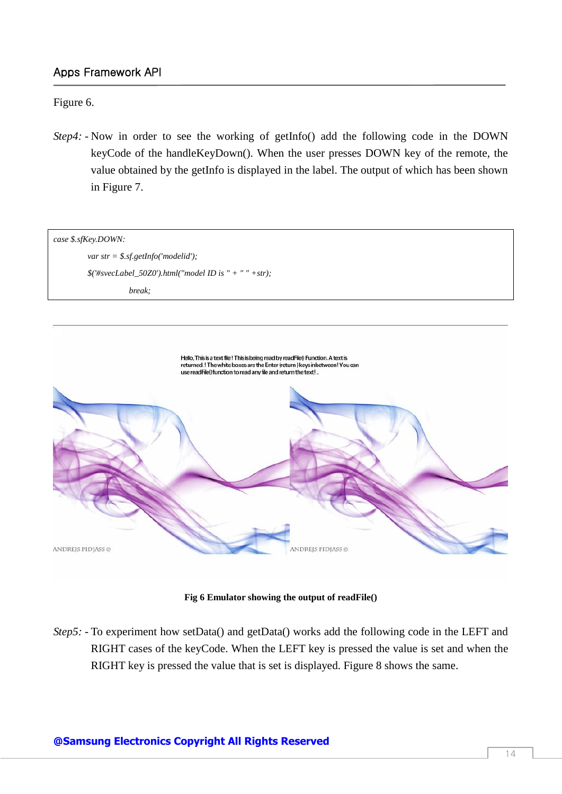#### Figure 6.

*Step4:* - Now in order to see the working of getInfo() add the following code in the DOWN keyCode of the handleKeyDown(). When the user presses DOWN key of the remote, the value obtained by the getInfo is displayed in the label. The output of which has been shown in Figure 7.



**Fig 6 Emulator showing the output of readFile()**

*Step5*: - To experiment how setData() and getData() works add the following code in the LEFT and RIGHT cases of the keyCode. When the LEFT key is pressed the value is set and when the RIGHT key is pressed the value that is set is displayed. Figure 8 shows the same.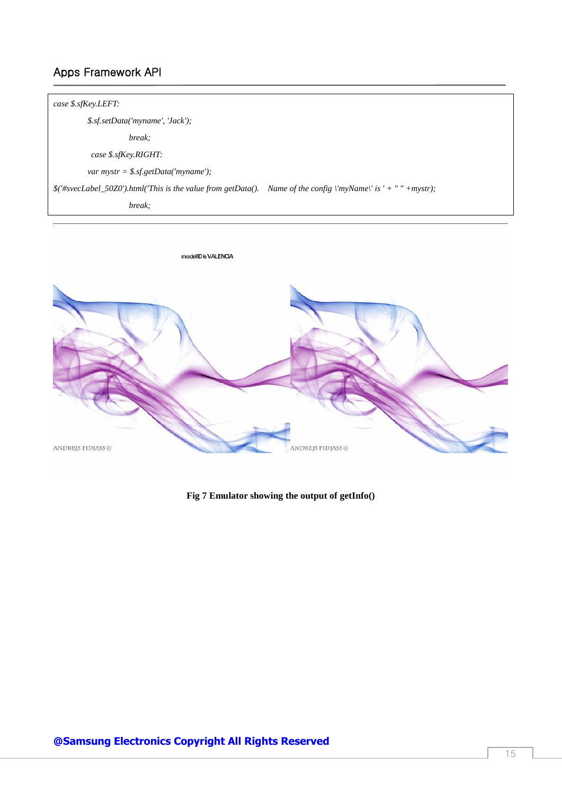# *case \$.sfKey.LEFT: \$.sf.setData('myname', 'Jack'); break; case \$.sfKey.RIGHT: var mystr = \$.sf.getData('myname'); \$('#svecLabel\_50Z0').html('This is the value from getData(). Name of the config \'myName\' is ' + " " +mystr); break;*



**Fig 7 Emulator showing the output of getInfo()**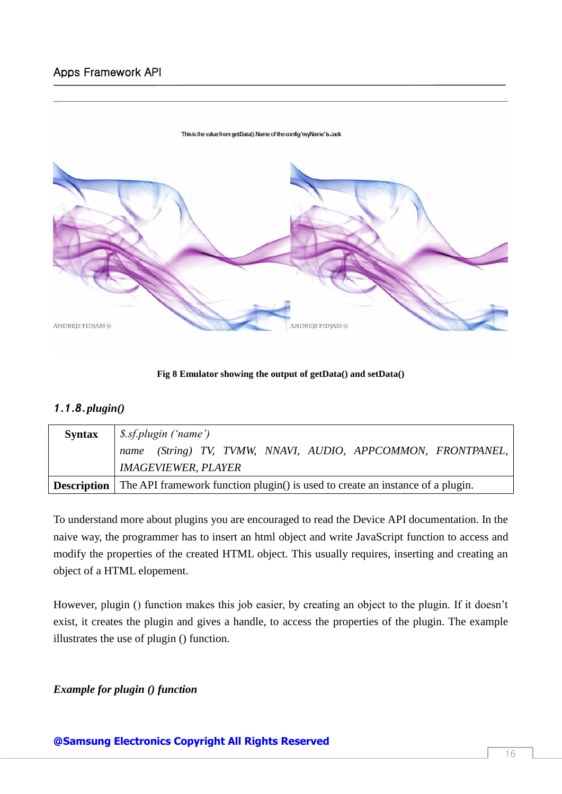

**Fig 8 Emulator showing the output of getData() and setData()**

## <span id="page-15-0"></span>*1.1.8.plugin()*

| <b>Syntax</b> | <i>S.sf.plugin ('name')</i>                                                                       |  |  |
|---------------|---------------------------------------------------------------------------------------------------|--|--|
|               | name (String) TV, TVMW, NNAVI, AUDIO, APPCOMMON, FRONTPANEL,                                      |  |  |
|               | <b>IMAGEVIEWER, PLAYER</b>                                                                        |  |  |
|               | <b>Description</b> The API framework function plugin() is used to create an instance of a plugin. |  |  |

To understand more about plugins you are encouraged to read the Device API documentation. In the naive way, the programmer has to insert an html object and write JavaScript function to access and modify the properties of the created HTML object. This usually requires, inserting and creating an object of a HTML elopement.

However, plugin () function makes this job easier, by creating an object to the plugin. If it doesn't exist, it creates the plugin and gives a handle, to access the properties of the plugin. The example illustrates the use of plugin () function.

#### *Example for plugin () function*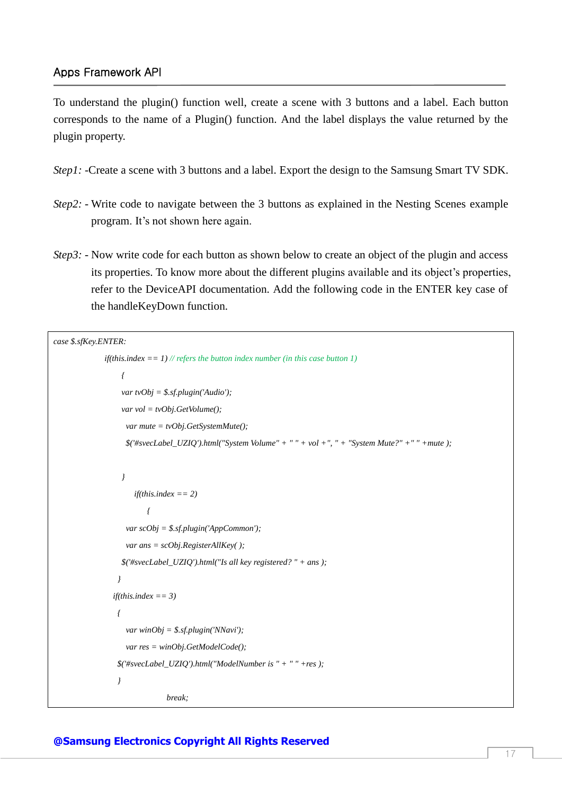To understand the plugin() function well, create a scene with 3 buttons and a label. Each button corresponds to the name of a Plugin() function. And the label displays the value returned by the plugin property.

- *Step1*: -Create a scene with 3 buttons and a label. Export the design to the Samsung Smart TV SDK.
- *Step2:* Write code to navigate between the 3 buttons as explained in the Nesting Scenes example program. It's not shown here again.
- *Step3*: Now write code for each button as shown below to create an object of the plugin and access its properties. To know more about the different plugins available and its object's properties, refer to the DeviceAPI documentation. Add the following code in the ENTER key case of the handleKeyDown function.

```
case $.sfKey.ENTER:
            if(this.index == 1) // refers the button index number (in this case button 1)
 {
                  var tvObj = $.sf.plugin('Audio');
                  var vol = tvObj.GetVolume();
                   var mute = tvObj.GetSystemMute();
                   $('#svecLabel_UZIQ').html("System Volume" + " " + vol +", " + "System Mute?" +" " +mute );
 }
                     if(this.index == 2)
 {
                   var scObj = $.sf.plugin('AppCommon');
                   var ans = scObj.RegisterAllKey( );
                  $('#svecLabel_UZIQ').html("Is all key registered? " + ans );
 }
               if(this.index == 3)
 {
                   var winObj = $.sf.plugin('NNavi');
                   var res = winObj.GetModelCode();
                $('#svecLabel_UZIQ').html("ModelNumber is " + " " +res );
 }
                            break;
```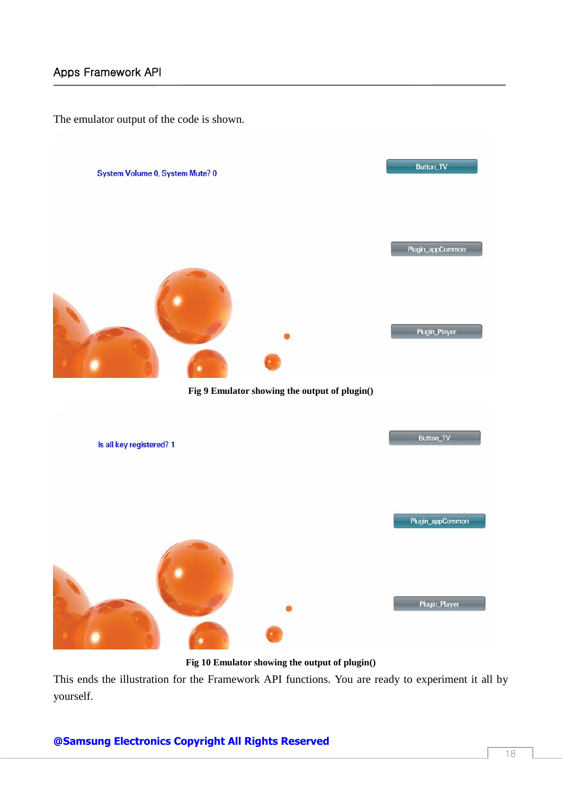The emulator output of the code is shown.



**Fig 10 Emulator showing the output of plugin()**

This ends the illustration for the Framework API functions. You are ready to experiment it all by yourself.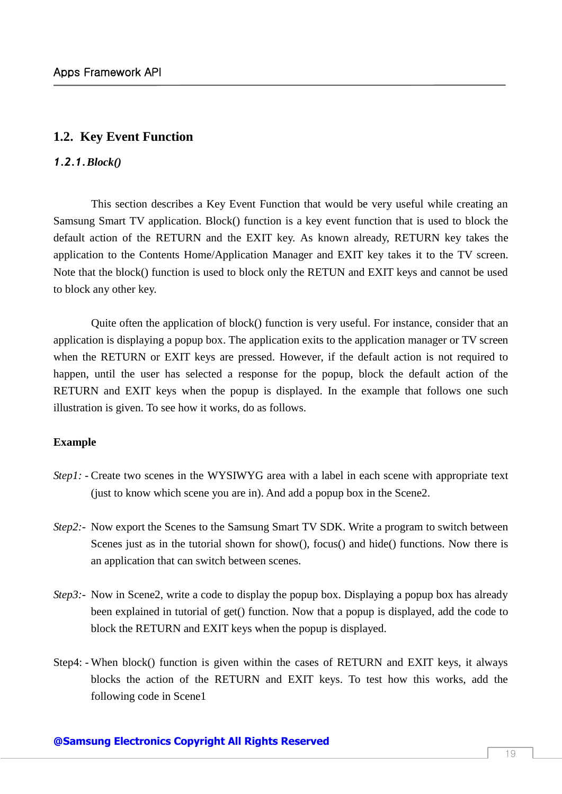### <span id="page-18-0"></span>**1.2. Key Event Function**

#### <span id="page-18-1"></span>*1.2.1.Block()*

This section describes a Key Event Function that would be very useful while creating an Samsung Smart TV application. Block() function is a key event function that is used to block the default action of the RETURN and the EXIT key. As known already, RETURN key takes the application to the Contents Home/Application Manager and EXIT key takes it to the TV screen. Note that the block() function is used to block only the RETUN and EXIT keys and cannot be used to block any other key.

Quite often the application of block() function is very useful. For instance, consider that an application is displaying a popup box. The application exits to the application manager or TV screen when the RETURN or EXIT keys are pressed. However, if the default action is not required to happen, until the user has selected a response for the popup, block the default action of the RETURN and EXIT keys when the popup is displayed. In the example that follows one such illustration is given. To see how it works, do as follows.

#### **Example**

- *Step1:* Create two scenes in the WYSIWYG area with a label in each scene with appropriate text (just to know which scene you are in). And add a popup box in the Scene2.
- *Step2:-* Now export the Scenes to the Samsung Smart TV SDK. Write a program to switch between Scenes just as in the tutorial shown for show(), focus() and hide() functions. Now there is an application that can switch between scenes.
- *Step3:* Now in Scene2, write a code to display the popup box. Displaying a popup box has already been explained in tutorial of get() function. Now that a popup is displayed, add the code to block the RETURN and EXIT keys when the popup is displayed.
- Step4: When block() function is given within the cases of RETURN and EXIT keys, it always blocks the action of the RETURN and EXIT keys. To test how this works, add the following code in Scene1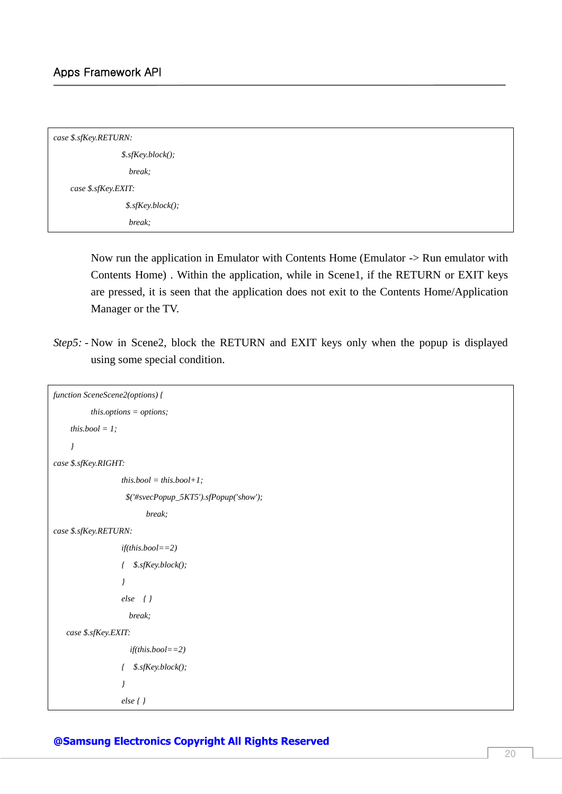| case \$.sfKey.RETURN:   |  |  |
|-------------------------|--|--|
| $$.s$ f $Key.block($ ); |  |  |
| break;                  |  |  |
| case \$.sfKey.EXIT:     |  |  |
| $$.s$ f $Key.block()$ ; |  |  |
| break;                  |  |  |

Now run the application in Emulator with Contents Home (Emulator -> Run emulator with Contents Home) . Within the application, while in Scene1, if the RETURN or EXIT keys are pressed, it is seen that the application does not exit to the Contents Home/Application Manager or the TV.

*Step5: -* Now in Scene2, block the RETURN and EXIT keys only when the popup is displayed using some special condition.

```
function SceneScene2(options) {
         this.options = options;
    this.bool = l;
     }
case $.sfKey.RIGHT:
                  this.bool = this.bool+1;
                    $('#svecPopup_5KT5').sfPopup('show');
                         break;
case $.sfKey.RETURN:
                   if(this.bool==2)
                   { $.sfKey.block();
 }
                   else { }
                   break;
    case $.sfKey.EXIT:
                     if(this.bool==2)
                   { $.sfKey.block();
 }
                   else { }
```